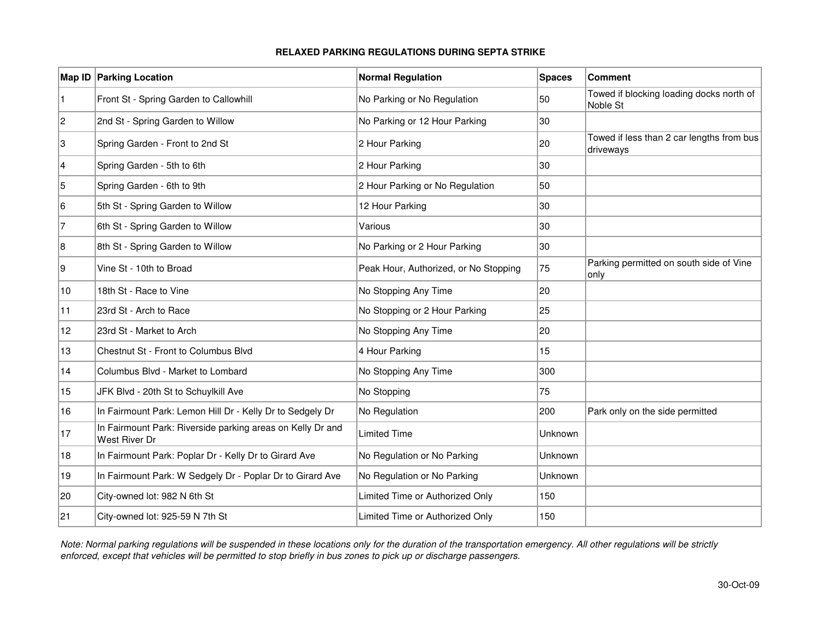|                | <b>Map ID Parking Location</b>                                              | <b>Normal Regulation</b>              | <b>Spaces</b> | <b>Comment</b>                                         |
|----------------|-----------------------------------------------------------------------------|---------------------------------------|---------------|--------------------------------------------------------|
| $\blacksquare$ | Front St - Spring Garden to Callowhill                                      | No Parking or No Regulation           | 50            | Towed if blocking loading docks north of<br>Noble St   |
| 2              | 2nd St - Spring Garden to Willow                                            | No Parking or 12 Hour Parking         | 30            |                                                        |
| Ι3             | Spring Garden - Front to 2nd St                                             | 2 Hour Parking                        | 20            | Towed if less than 2 car lengths from bus<br>driveways |
| 4              | Spring Garden - 5th to 6th                                                  | 2 Hour Parking                        | 30            |                                                        |
| 5              | Spring Garden - 6th to 9th                                                  | 2 Hour Parking or No Regulation       | 50            |                                                        |
| 6              | 5th St - Spring Garden to Willow                                            | 12 Hour Parking                       | 30            |                                                        |
| 7              | 6th St - Spring Garden to Willow                                            | Various                               | 30            |                                                        |
| 18             | 8th St - Spring Garden to Willow                                            | No Parking or 2 Hour Parking          | 30            |                                                        |
| Ι9             | Vine St - 10th to Broad                                                     | Peak Hour, Authorized, or No Stopping | 75            | Parking permitted on south side of Vine<br>only        |
| 10             | 18th St - Race to Vine                                                      | No Stopping Any Time                  | 20            |                                                        |
| 11             | 23rd St - Arch to Race                                                      | No Stopping or 2 Hour Parking         | 25            |                                                        |
| 12             | 23rd St - Market to Arch                                                    | No Stopping Any Time                  | 20            |                                                        |
| 13             | Chestnut St - Front to Columbus Blvd                                        | 4 Hour Parking                        | 15            |                                                        |
| 14             | Columbus Blvd - Market to Lombard                                           | No Stopping Any Time                  | 300           |                                                        |
| 15             | JFK Blvd - 20th St to Schuylkill Ave                                        | No Stopping                           | 75            |                                                        |
| 16             | In Fairmount Park: Lemon Hill Dr - Kelly Dr to Sedgely Dr                   | No Regulation                         | 200           | Park only on the side permitted                        |
| 17             | In Fairmount Park: Riverside parking areas on Kelly Dr and<br>West River Dr | <b>Limited Time</b>                   | Unknown       |                                                        |
| 18             | In Fairmount Park: Poplar Dr - Kelly Dr to Girard Ave                       | No Regulation or No Parking           | Unknown       |                                                        |
| 19             | In Fairmount Park: W Sedgely Dr - Poplar Dr to Girard Ave                   | No Regulation or No Parking           | Unknown       |                                                        |
| 20             | City-owned lot: 982 N 6th St                                                | Limited Time or Authorized Only       | 150           |                                                        |
| 21             | City-owned lot: 925-59 N 7th St                                             | Limited Time or Authorized Only       | 150           |                                                        |

## **RELAXED PARKING REGULATIONS DURING SEPTA STRIKE**

Note: Normal parking regulations will be suspended in these locations only for the duration of the transportation emergency. All other regulations will be strictly enforced, except that vehicles will be permitted to stop briefly in bus zones to pick up or discharge passengers.